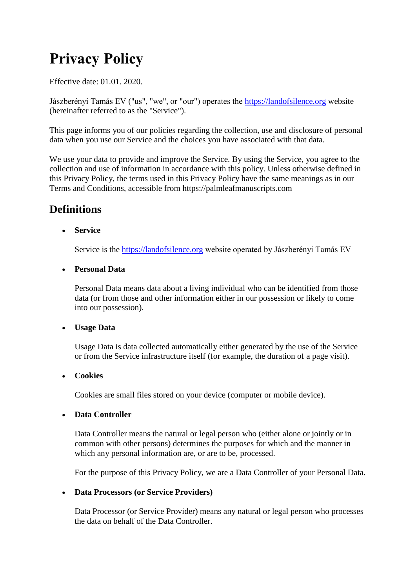# **Privacy Policy**

Effective date: 01.01. 2020.

Jászberényi Tamás EV ("us", "we", or "our") operates the [https://landofsilence.org](https://landofsilence.org/) website (hereinafter referred to as the "Service").

This page informs you of our policies regarding the collection, use and disclosure of personal data when you use our Service and the choices you have associated with that data.

We use your data to provide and improve the Service. By using the Service, you agree to the collection and use of information in accordance with this policy. Unless otherwise defined in this Privacy Policy, the terms used in this Privacy Policy have the same meanings as in our Terms and Conditions, accessible from https://palmleafmanuscripts.com

### **Definitions**

### **Service**

Service is the [https://landofsilence.org](https://landofsilence.org/) website operated by Jászberényi Tamás EV

**Personal Data**

Personal Data means data about a living individual who can be identified from those data (or from those and other information either in our possession or likely to come into our possession).

#### **Usage Data**

Usage Data is data collected automatically either generated by the use of the Service or from the Service infrastructure itself (for example, the duration of a page visit).

#### **Cookies**

Cookies are small files stored on your device (computer or mobile device).

#### **Data Controller**

Data Controller means the natural or legal person who (either alone or jointly or in common with other persons) determines the purposes for which and the manner in which any personal information are, or are to be, processed.

For the purpose of this Privacy Policy, we are a Data Controller of your Personal Data.

#### **Data Processors (or Service Providers)**

Data Processor (or Service Provider) means any natural or legal person who processes the data on behalf of the Data Controller.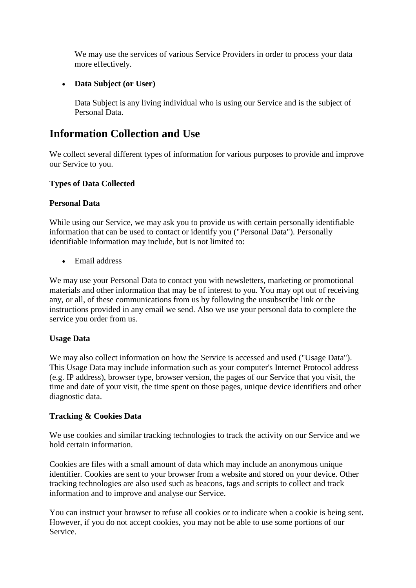We may use the services of various Service Providers in order to process your data more effectively.

#### **Data Subject (or User)**

Data Subject is any living individual who is using our Service and is the subject of Personal Data.

### **Information Collection and Use**

We collect several different types of information for various purposes to provide and improve our Service to you.

### **Types of Data Collected**

### **Personal Data**

While using our Service, we may ask you to provide us with certain personally identifiable information that can be used to contact or identify you ("Personal Data"). Personally identifiable information may include, but is not limited to:

• Email address

We may use your Personal Data to contact you with newsletters, marketing or promotional materials and other information that may be of interest to you. You may opt out of receiving any, or all, of these communications from us by following the unsubscribe link or the instructions provided in any email we send. Also we use your personal data to complete the service you order from us.

#### **Usage Data**

We may also collect information on how the Service is accessed and used ("Usage Data"). This Usage Data may include information such as your computer's Internet Protocol address (e.g. IP address), browser type, browser version, the pages of our Service that you visit, the time and date of your visit, the time spent on those pages, unique device identifiers and other diagnostic data.

#### **Tracking & Cookies Data**

We use cookies and similar tracking technologies to track the activity on our Service and we hold certain information.

Cookies are files with a small amount of data which may include an anonymous unique identifier. Cookies are sent to your browser from a website and stored on your device. Other tracking technologies are also used such as beacons, tags and scripts to collect and track information and to improve and analyse our Service.

You can instruct your browser to refuse all cookies or to indicate when a cookie is being sent. However, if you do not accept cookies, you may not be able to use some portions of our Service.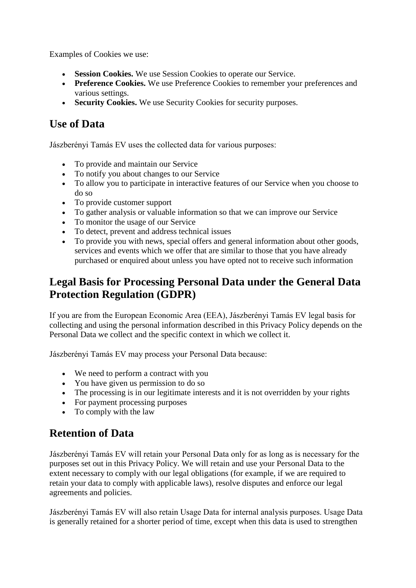Examples of Cookies we use:

- **Session Cookies.** We use Session Cookies to operate our Service.
- **Preference Cookies.** We use Preference Cookies to remember your preferences and various settings.
- **Security Cookies.** We use Security Cookies for security purposes.

### **Use of Data**

Jászberényi Tamás EV uses the collected data for various purposes:

- To provide and maintain our Service
- To notify you about changes to our Service
- To allow you to participate in interactive features of our Service when you choose to do so
- To provide customer support
- To gather analysis or valuable information so that we can improve our Service
- To monitor the usage of our Service
- To detect, prevent and address technical issues
- To provide you with news, special offers and general information about other goods, services and events which we offer that are similar to those that you have already purchased or enquired about unless you have opted not to receive such information

### **Legal Basis for Processing Personal Data under the General Data Protection Regulation (GDPR)**

If you are from the European Economic Area (EEA), Jászberényi Tamás EV legal basis for collecting and using the personal information described in this Privacy Policy depends on the Personal Data we collect and the specific context in which we collect it.

Jászberényi Tamás EV may process your Personal Data because:

- We need to perform a contract with you
- You have given us permission to do so
- The processing is in our legitimate interests and it is not overridden by your rights
- For payment processing purposes
- To comply with the law

### **Retention of Data**

Jászberényi Tamás EV will retain your Personal Data only for as long as is necessary for the purposes set out in this Privacy Policy. We will retain and use your Personal Data to the extent necessary to comply with our legal obligations (for example, if we are required to retain your data to comply with applicable laws), resolve disputes and enforce our legal agreements and policies.

Jászberényi Tamás EV will also retain Usage Data for internal analysis purposes. Usage Data is generally retained for a shorter period of time, except when this data is used to strengthen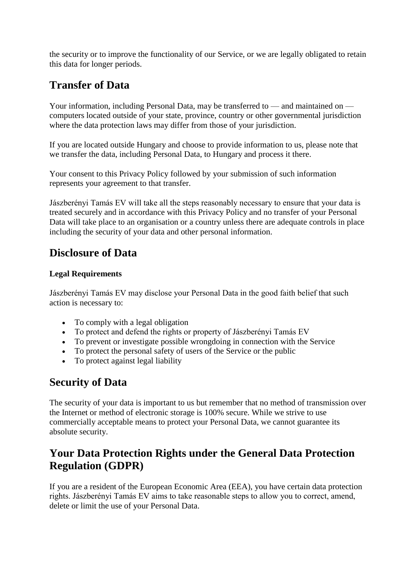the security or to improve the functionality of our Service, or we are legally obligated to retain this data for longer periods.

### **Transfer of Data**

Your information, including Personal Data, may be transferred to — and maintained on computers located outside of your state, province, country or other governmental jurisdiction where the data protection laws may differ from those of your jurisdiction.

If you are located outside Hungary and choose to provide information to us, please note that we transfer the data, including Personal Data, to Hungary and process it there.

Your consent to this Privacy Policy followed by your submission of such information represents your agreement to that transfer.

Jászberényi Tamás EV will take all the steps reasonably necessary to ensure that your data is treated securely and in accordance with this Privacy Policy and no transfer of your Personal Data will take place to an organisation or a country unless there are adequate controls in place including the security of your data and other personal information.

### **Disclosure of Data**

### **Legal Requirements**

Jászberényi Tamás EV may disclose your Personal Data in the good faith belief that such action is necessary to:

- To comply with a legal obligation
- To protect and defend the rights or property of Jászberényi Tamás EV
- To prevent or investigate possible wrongdoing in connection with the Service
- To protect the personal safety of users of the Service or the public
- To protect against legal liability

### **Security of Data**

The security of your data is important to us but remember that no method of transmission over the Internet or method of electronic storage is 100% secure. While we strive to use commercially acceptable means to protect your Personal Data, we cannot guarantee its absolute security.

### **Your Data Protection Rights under the General Data Protection Regulation (GDPR)**

If you are a resident of the European Economic Area (EEA), you have certain data protection rights. Jászberényi Tamás EV aims to take reasonable steps to allow you to correct, amend, delete or limit the use of your Personal Data.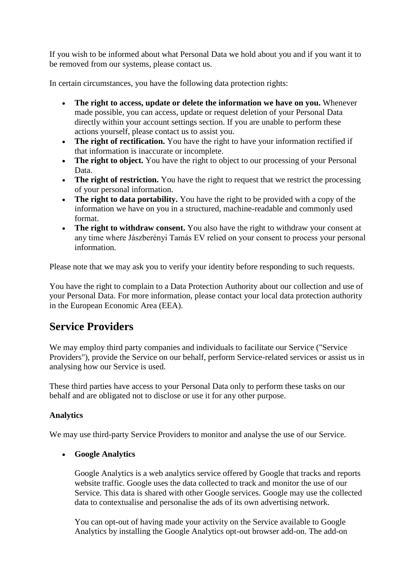If you wish to be informed about what Personal Data we hold about you and if you want it to be removed from our systems, please contact us.

In certain circumstances, you have the following data protection rights:

- **The right to access, update or delete the information we have on you.** Whenever made possible, you can access, update or request deletion of your Personal Data directly within your account settings section. If you are unable to perform these actions yourself, please contact us to assist you.
- **The right of rectification.** You have the right to have your information rectified if that information is inaccurate or incomplete.
- The right to object. You have the right to object to our processing of your Personal Data.
- The right of restriction. You have the right to request that we restrict the processing of your personal information.
- **The right to data portability.** You have the right to be provided with a copy of the information we have on you in a structured, machine-readable and commonly used format.
- **The right to withdraw consent.** You also have the right to withdraw your consent at any time where Jászberényi Tamás EV relied on your consent to process your personal information.

Please note that we may ask you to verify your identity before responding to such requests.

You have the right to complain to a Data Protection Authority about our collection and use of your Personal Data. For more information, please contact your local data protection authority in the European Economic Area (EEA).

### **Service Providers**

We may employ third party companies and individuals to facilitate our Service ("Service Providers"), provide the Service on our behalf, perform Service-related services or assist us in analysing how our Service is used.

These third parties have access to your Personal Data only to perform these tasks on our behalf and are obligated not to disclose or use it for any other purpose.

#### **Analytics**

We may use third-party Service Providers to monitor and analyse the use of our Service.

#### **Google Analytics**

Google Analytics is a web analytics service offered by Google that tracks and reports website traffic. Google uses the data collected to track and monitor the use of our Service. This data is shared with other Google services. Google may use the collected data to contextualise and personalise the ads of its own advertising network.

You can opt-out of having made your activity on the Service available to Google Analytics by installing the Google Analytics opt-out browser add-on. The add-on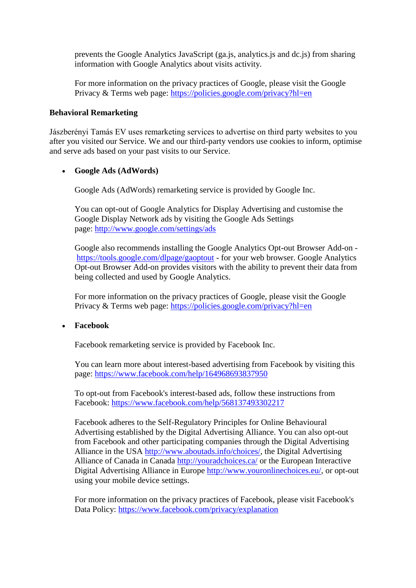prevents the Google Analytics JavaScript (ga.js, analytics.js and dc.js) from sharing information with Google Analytics about visits activity.

For more information on the privacy practices of Google, please visit the Google Privacy & Terms web page: <https://policies.google.com/privacy?hl=en>

#### **Behavioral Remarketing**

Jászberényi Tamás EV uses remarketing services to advertise on third party websites to you after you visited our Service. We and our third-party vendors use cookies to inform, optimise and serve ads based on your past visits to our Service.

#### **Google Ads (AdWords)**

Google Ads (AdWords) remarketing service is provided by Google Inc.

You can opt-out of Google Analytics for Display Advertising and customise the Google Display Network ads by visiting the Google Ads Settings page: <http://www.google.com/settings/ads>

Google also recommends installing the Google Analytics Opt-out Browser Add-on <https://tools.google.com/dlpage/gaoptout> - for your web browser. Google Analytics Opt-out Browser Add-on provides visitors with the ability to prevent their data from being collected and used by Google Analytics.

For more information on the privacy practices of Google, please visit the Google Privacy & Terms web page: <https://policies.google.com/privacy?hl=en>

**Facebook**

Facebook remarketing service is provided by Facebook Inc.

You can learn more about interest-based advertising from Facebook by visiting this page: <https://www.facebook.com/help/164968693837950>

To opt-out from Facebook's interest-based ads, follow these instructions from Facebook: <https://www.facebook.com/help/568137493302217>

Facebook adheres to the Self-Regulatory Principles for Online Behavioural Advertising established by the Digital Advertising Alliance. You can also opt-out from Facebook and other participating companies through the Digital Advertising Alliance in the USA [http://www.aboutads.info/choices/,](http://www.aboutads.info/choices/) the Digital Advertising Alliance of Canada in Canada <http://youradchoices.ca/> or the European Interactive Digital Advertising Alliance in Europe [http://www.youronlinechoices.eu/,](http://www.youronlinechoices.eu/) or opt-out using your mobile device settings.

For more information on the privacy practices of Facebook, please visit Facebook's Data Policy: <https://www.facebook.com/privacy/explanation>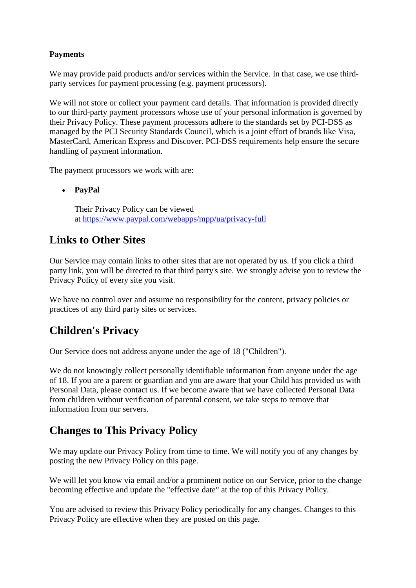### **Payments**

We may provide paid products and/or services within the Service. In that case, we use thirdparty services for payment processing (e.g. payment processors).

We will not store or collect your payment card details. That information is provided directly to our third-party payment processors whose use of your personal information is governed by their Privacy Policy. These payment processors adhere to the standards set by PCI-DSS as managed by the PCI Security Standards Council, which is a joint effort of brands like Visa, MasterCard, American Express and Discover. PCI-DSS requirements help ensure the secure handling of payment information.

The payment processors we work with are:

**PayPal** 

Their Privacy Policy can be viewed at <https://www.paypal.com/webapps/mpp/ua/privacy-full>

### **Links to Other Sites**

Our Service may contain links to other sites that are not operated by us. If you click a third party link, you will be directed to that third party's site. We strongly advise you to review the Privacy Policy of every site you visit.

We have no control over and assume no responsibility for the content, privacy policies or practices of any third party sites or services.

### **Children's Privacy**

Our Service does not address anyone under the age of 18 ("Children").

We do not knowingly collect personally identifiable information from anyone under the age of 18. If you are a parent or guardian and you are aware that your Child has provided us with Personal Data, please contact us. If we become aware that we have collected Personal Data from children without verification of parental consent, we take steps to remove that information from our servers.

### **Changes to This Privacy Policy**

We may update our Privacy Policy from time to time. We will notify you of any changes by posting the new Privacy Policy on this page.

We will let you know via email and/or a prominent notice on our Service, prior to the change becoming effective and update the "effective date" at the top of this Privacy Policy.

You are advised to review this Privacy Policy periodically for any changes. Changes to this Privacy Policy are effective when they are posted on this page.